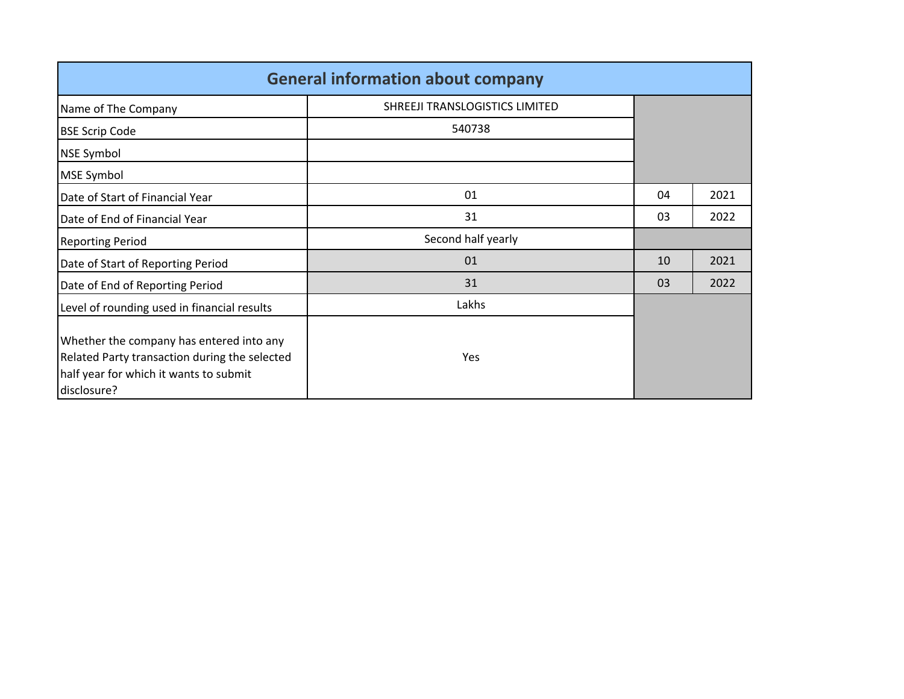| <b>General information about company</b>                                                                                                           |                                |    |      |  |  |  |  |  |  |  |
|----------------------------------------------------------------------------------------------------------------------------------------------------|--------------------------------|----|------|--|--|--|--|--|--|--|
| Name of The Company                                                                                                                                | SHREEJI TRANSLOGISTICS LIMITED |    |      |  |  |  |  |  |  |  |
| <b>BSE Scrip Code</b>                                                                                                                              | 540738                         |    |      |  |  |  |  |  |  |  |
| <b>NSE Symbol</b>                                                                                                                                  |                                |    |      |  |  |  |  |  |  |  |
| <b>MSE Symbol</b>                                                                                                                                  |                                |    |      |  |  |  |  |  |  |  |
| Date of Start of Financial Year                                                                                                                    | 01                             | 04 | 2021 |  |  |  |  |  |  |  |
| Date of End of Financial Year                                                                                                                      | 31                             | 03 | 2022 |  |  |  |  |  |  |  |
| <b>Reporting Period</b>                                                                                                                            | Second half yearly             |    |      |  |  |  |  |  |  |  |
| Date of Start of Reporting Period                                                                                                                  | 01                             | 10 | 2021 |  |  |  |  |  |  |  |
| Date of End of Reporting Period                                                                                                                    | 31                             | 03 | 2022 |  |  |  |  |  |  |  |
| Level of rounding used in financial results                                                                                                        | Lakhs                          |    |      |  |  |  |  |  |  |  |
| Whether the company has entered into any<br>Related Party transaction during the selected<br>half year for which it wants to submit<br>disclosure? | Yes                            |    |      |  |  |  |  |  |  |  |